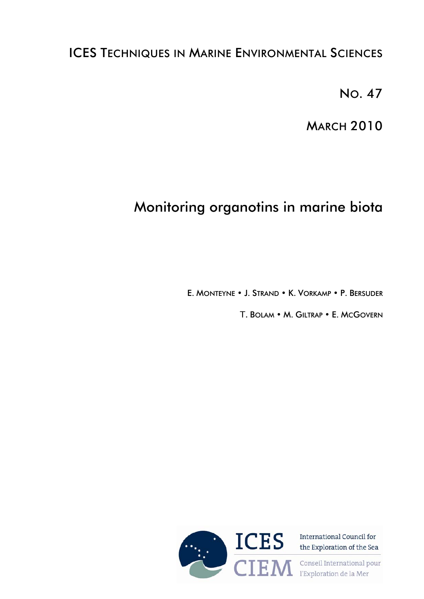## ICES TECHNIQUES IN MARINE ENVIRONMENTAL SCIENCES

NO. 47

**MARCH 2010** 

# Monitoring organotins in marine biota

E. MONTEYNE • J. STRAND • K. VORKAMP • P. BERSUDER

T. BOLAM • M. GILTRAP • E. MCGOVERN



**CIEM** Conseil International pour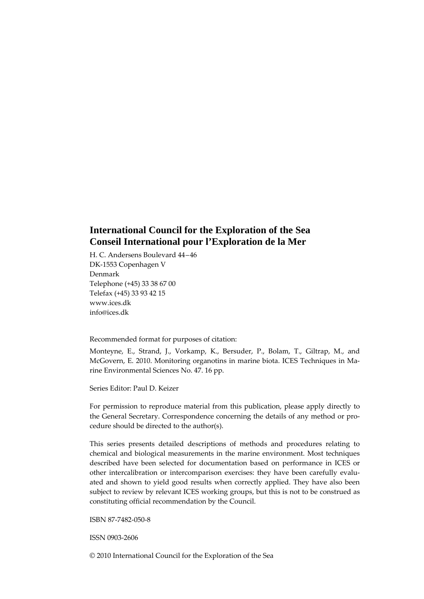## **International Council for the Exploration of the Sea Conseil International pour l'Exploration de la Mer**

H. C. Andersens Boulevard 44–46 DK‐1553 Copenhagen V Denmark Telephone (+45) 33 38 67 00 Telefax (+45) 33 93 42 15 www.ices.dk info@ices.dk

Recommended format for purposes of citation:

Monteyne, E., Strand, J., Vorkamp, K., Bersuder, P., Bolam, T., Giltrap, M., and McGovern, E. 2010. Monitoring organotins in marine biota. ICES Techniques in Ma‐ rine Environmental Sciences No. 47. 16 pp.

Series Editor: Paul D. Keizer

For permission to reproduce material from this publication, please apply directly to the General Secretary. Correspondence concerning the details of any method or procedure should be directed to the author(s).

This series presents detailed descriptions of methods and procedures relating to chemical and biological measurements in the marine environment. Most techniques described have been selected for documentation based on performance in ICES or other intercalibration or intercomparison exercises: they have been carefully evaluated and shown to yield good results when correctly applied. They have also been subject to review by relevant ICES working groups, but this is not to be construed as constituting official recommendation by the Council.

ISBN 87‐7482‐050‐8

ISSN 0903‐2606

© 2010 International Council for the Exploration of the Sea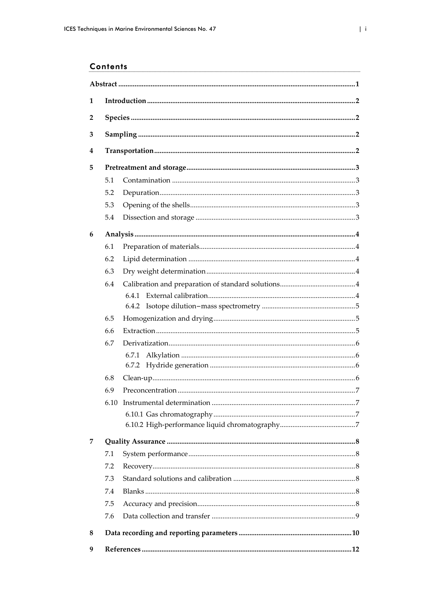## **Contents**

| 1              |      |       |  |  |
|----------------|------|-------|--|--|
| $\overline{2}$ |      |       |  |  |
| 3              |      |       |  |  |
|                |      |       |  |  |
| 4              |      |       |  |  |
| 5              |      |       |  |  |
|                | 5.1  |       |  |  |
|                | 5.2  |       |  |  |
|                | 5.3  |       |  |  |
|                | 5.4  |       |  |  |
| 6              |      |       |  |  |
|                | 6.1  |       |  |  |
|                | 6.2  |       |  |  |
|                | 6.3  |       |  |  |
|                | 6.4  |       |  |  |
|                |      |       |  |  |
|                |      |       |  |  |
|                | 6.5  |       |  |  |
|                | 6.6  |       |  |  |
|                | 6.7  |       |  |  |
|                |      | 6.7.1 |  |  |
|                |      |       |  |  |
|                | 6.8  |       |  |  |
|                | 6.9  |       |  |  |
|                | 6.10 |       |  |  |
|                |      |       |  |  |
|                |      |       |  |  |
| 7              |      |       |  |  |
|                | 7.1  |       |  |  |
|                | 7.2  |       |  |  |
|                | 7.3  |       |  |  |
|                | 7.4  |       |  |  |
|                | 7.5  |       |  |  |
|                | 7.6  |       |  |  |
| 8              |      |       |  |  |
| 9              |      |       |  |  |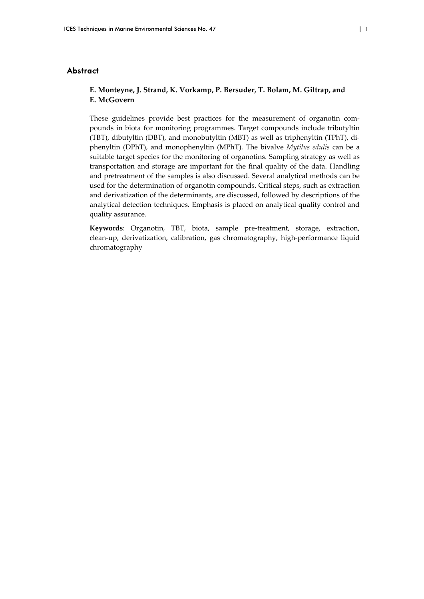#### Abstract

## **E. Monteyne, J. Strand, K. Vorkamp, P. Bersuder, T. Bolam, M. Giltrap, and E. McGovern**

These guidelines provide best practices for the measurement of organotin compounds in biota for monitoring programmes. Target compounds include tributyltin (TBT), dibutyltin (DBT), and monobutyltin (MBT) as well as triphenyltin (TPhT), di‐ phenyltin (DPhT), and monophenyltin (MPhT). The bivalve *Mytilus edulis* can be a suitable target species for the monitoring of organotins. Sampling strategy as well as transportation and storage are important for the final quality of the data. Handling and pretreatment of the samples is also discussed. Several analytical methods can be used for the determination of organotin compounds. Critical steps, such as extraction and derivatization of the determinants, are discussed, followed by descriptions of the analytical detection techniques. Emphasis is placed on analytical quality control and quality assurance.

**Keywords**: Organotin, TBT, biota, sample pre‐treatment, storage, extraction, clean-up, derivatization, calibration, gas chromatography, high-performance liquid chromatography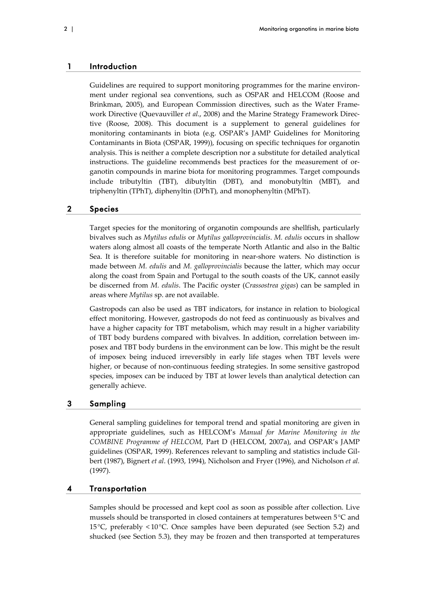#### 1 Introduction

Guidelines are required to support monitoring programmes for the marine environment under regional sea conventions, such as OSPAR and HELCOM (Roose and Brinkman, 2005), and European Commission directives, such as the Water Framework Directive (Quevauviller *et al*., 2008) and the Marine Strategy Framework Direc‐ tive (Roose, 2008). This document is a supplement to general guidelines for monitoring contaminants in biota (e.g. OSPAR's JAMP Guidelines for Monitoring Contaminants in Biota (OSPAR, 1999)), focusing on specific techniques for organotin analysis. This is neither a complete description nor a substitute for detailed analytical instructions. The guideline recommends best practices for the measurement of organotin compounds in marine biota for monitoring programmes. Target compounds include tributyltin (TBT), dibutyltin (DBT), and monobutyltin (MBT), and triphenyltin (TPhT), diphenyltin (DPhT), and monophenyltin (MPhT).

#### 2 Species

Target species for the monitoring of organotin compounds are shellfish, particularly bivalves such as *Mytilus edulis* or *Mytilus galloprovincialis*. *M. edulis* occurs in shallow waters along almost all coasts of the temperate North Atlantic and also in the Baltic Sea. It is therefore suitable for monitoring in near-shore waters. No distinction is made between *M. edulis* and *M. galloprovincialis* because the latter, which may occur along the coast from Spain and Portugal to the south coasts of the UK, cannot easily be discerned from *M. edulis*. The Pacific oyster (*Crassostrea gigas*) can be sampled in areas where *Mytilus* sp. are not available.

Gastropods can also be used as TBT indicators, for instance in relation to biological effect monitoring. However, gastropods do not feed as continuously as bivalves and have a higher capacity for TBT metabolism, which may result in a higher variability of TBT body burdens compared with bivalves. In addition, correlation between im‐ posex and TBT body burdens in the environment can be low. This might be the result of imposex being induced irreversibly in early life stages when TBT levels were higher, or because of non-continuous feeding strategies. In some sensitive gastropod species, imposex can be induced by TBT at lower levels than analytical detection can generally achieve.

#### 3 Sampling

General sampling guidelines for temporal trend and spatial monitoring are given in appropriate guidelines, such as HELCOM's *Manual for Marine Monitoring in the COMBINE Programme of HELCOM*, Part D (HELCOM, 2007a), and OSPAR's JAMP guidelines (OSPAR, 1999). References relevant to sampling and statistics include Gil‐ bert (1987), Bignert *et al*. (1993, 1994), Nicholson and Fryer (1996), and Nicholson *et al.* (1997).

#### 4 Transportation

Samples should be processed and kept cool as soon as possible after collection. Live mussels should be transported in closed containers at temperatures between 5°C and 15°C, preferably < 10°C. Once samples have been depurated (see Section 5.2) and shucked (see Section 5.3), they may be frozen and then transported at temperatures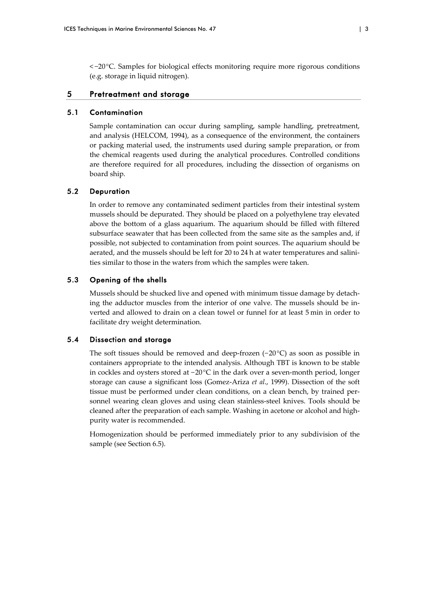< −20C. Samples for biological effects monitoring require more rigorous conditions (e.g. storage in liquid nitrogen).

#### 5 Pretreatment and storage

#### 5.1 Contamination

Sample contamination can occur during sampling, sample handling, pretreatment, and analysis (HELCOM, 1994), as a consequence of the environment, the containers or packing material used, the instruments used during sample preparation, or from the chemical reagents used during the analytical procedures. Controlled conditions are therefore required for all procedures, including the dissection of organisms on board ship.

## 5.2 Depuration

In order to remove any contaminated sediment particles from their intestinal system mussels should be depurated. They should be placed on a polyethylene tray elevated above the bottom of a glass aquarium. The aquarium should be filled with filtered subsurface seawater that has been collected from the same site as the samples and, if possible, not subjected to contamination from point sources. The aquarium should be aerated, and the mussels should be left for 20 to 24 h at water temperatures and salinities similar to those in the waters from which the samples were taken.

## 5.3 Opening of the shells

Mussels should be shucked live and opened with minimum tissue damage by detach‐ ing the adductor muscles from the interior of one valve. The mussels should be in‐ verted and allowed to drain on a clean towel or funnel for at least 5 min in order to facilitate dry weight determination.

## 5.4 Dissection and storage

The soft tissues should be removed and deep-frozen (−20 °C) as soon as possible in containers appropriate to the intended analysis. Although TBT is known to be stable in cockles and oysters stored at − 20°C in the dark over a seven‐month period, longer storage can cause a significant loss (Gomez‐Ariza *et al*., 1999). Dissection of the soft tissue must be performed under clean conditions, on a clean bench, by trained personnel wearing clean gloves and using clean stainless-steel knives. Tools should be cleaned after the preparation of each sample. Washing in acetone or alcohol and highpurity water is recommended.

Homogenization should be performed immediately prior to any subdivision of the sample (see Section 6.5).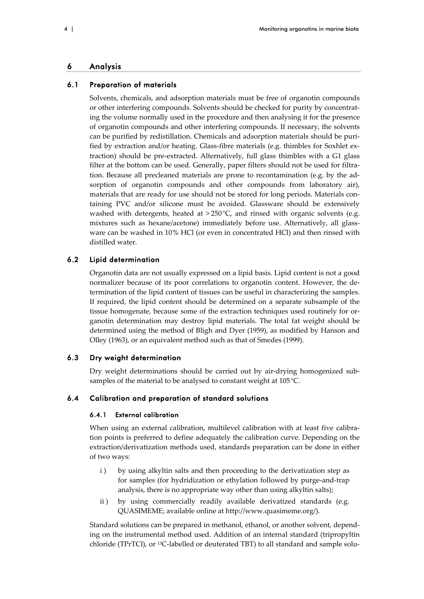#### 6 Analysis

#### 6.1 Preparation of materials

Solvents, chemicals, and adsorption materials must be free of organotin compounds or other interfering compounds. Solvents should be checked for purity by concentrat‐ ing the volume normally used in the procedure and then analysing it for the presence of organotin compounds and other interfering compounds. If necessary, the solvents can be purified by redistillation. Chemicals and adsorption materials should be purified by extraction and/or heating. Glass‐fibre materials (e.g. thimbles for Soxhlet ex‐ traction) should be pre‐extracted. Alternatively, full glass thimbles with a G1 glass filter at the bottom can be used. Generally, paper filters should not be used for filtration. Because all precleaned materials are prone to recontamination (e.g. by the ad‐ sorption of organotin compounds and other compounds from laboratory air), materials that are ready for use should not be stored for long periods. Materials containing PVC and/or silicone must be avoided. Glassware should be extensively washed with detergents, heated at  $>250^{\circ}$ C, and rinsed with organic solvents (e.g. mixtures such as hexane/acetone) immediately before use. Alternatively, all glassware can be washed in 10% HCl (or even in concentrated HCl) and then rinsed with distilled water.

#### 6.2 Lipid determination

Organotin data are not usually expressed on a lipid basis. Lipid content is not a good normalizer because of its poor correlations to organotin content. However, the determination of the lipid content of tissues can be useful in characterizing the samples. If required, the lipid content should be determined on a separate subsample of the tissue homogenate, because some of the extraction techniques used routinely for or‐ ganotin determination may destroy lipid materials. The total fat weight should be determined using the method of Bligh and Dyer (1959), as modified by Hanson and Olley (1963), or an equivalent method such as that of Smedes (1999).

#### 6.3 Dry weight determination

Dry weight determinations should be carried out by air-drying homogenized subsamples of the material to be analysed to constant weight at 105°C.

## 6.4 Calibration and preparation of standard solutions

#### 6.4.1 External calibration

When using an external calibration, multilevel calibration with at least five calibration points is preferred to define adequately the calibration curve. Depending on the extraction/derivatization methods used, standards preparation can be done in either of two ways:

- i ) by using alkyltin salts and then proceeding to the derivatization step as for samples (for hydridization or ethylation followed by purge-and-trap analysis, there is no appropriate way other than using alkyltin salts);
- ii) by using commercially readily available derivatized standards (e.g. QUASIMEME; available online at http://www.quasimeme.org/).

Standard solutions can be prepared in methanol, ethanol, or another solvent, depend‐ ing on the instrumental method used. Addition of an internal standard (tripropyltin chloride (TPrTCl), or <sup>13</sup>C-labelled or deuterated TBT) to all standard and sample solu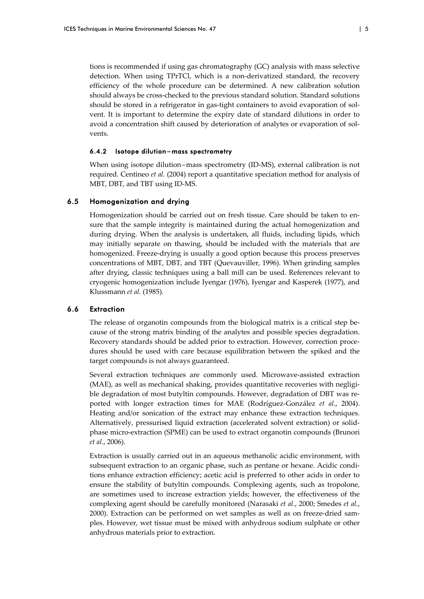tions is recommended if using gas chromatography (GC) analysis with mass selective detection. When using TPrTCl, which is a non-derivatized standard, the recovery efficiency of the whole procedure can be determined. A new calibration solution should always be cross‐checked to the previous standard solution. Standard solutions should be stored in a refrigerator in gas-tight containers to avoid evaporation of solvent. It is important to determine the expiry date of standard dilutions in order to avoid a concentration shift caused by deterioration of analytes or evaporation of solvents.

#### 6.4.2 Isotope dilution – mass spectrometry

When using isotope dilution–mass spectrometry (ID-MS), external calibration is not required. Centineo *et al.* (2004) report a quantitative speciation method for analysis of MBT, DBT, and TBT using ID‐MS.

#### 6.5 Homogenization and drying

Homogenization should be carried out on fresh tissue. Care should be taken to en‐ sure that the sample integrity is maintained during the actual homogenization and during drying. When the analysis is undertaken, all fluids, including lipids, which may initially separate on thawing, should be included with the materials that are homogenized. Freeze‐drying is usually a good option because this process preserves concentrations of MBT, DBT, and TBT (Quevauviller, 1996). When grinding samples after drying, classic techniques using a ball mill can be used. References relevant to cryogenic homogenization include Iyengar (1976), Iyengar and Kasperek (1977), and Klussmann *et al.* (1985).

#### 6.6 Extraction

The release of organotin compounds from the biological matrix is a critical step because of the strong matrix binding of the analytes and possible species degradation. Recovery standards should be added prior to extraction. However, correction proce‐ dures should be used with care because equilibration between the spiked and the target compounds is not always guaranteed.

Several extraction techniques are commonly used. Microwave‐assisted extraction (MAE), as well as mechanical shaking, provides quantitative recoveries with negligible degradation of most butyltin compounds. However, degradation of DBT was re‐ ported with longer extraction times for MAE (Rodríguez‐González *et al.*, 2004). Heating and/or sonication of the extract may enhance these extraction techniques. Alternatively, pressurised liquid extraction (accelerated solvent extraction) or solid‐ phase micro‐extraction (SPME) can be used to extract organotin compounds (Brunori *et al.*, 2006).

Extraction is usually carried out in an aqueous methanolic acidic environment, with subsequent extraction to an organic phase, such as pentane or hexane. Acidic conditions enhance extraction efficiency; acetic acid is preferred to other acids in order to ensure the stability of butyltin compounds. Complexing agents, such as tropolone, are sometimes used to increase extraction yields; however, the effectiveness of the complexing agent should be carefully monitored (Narasaki *et al.*, 2000; Smedes *et al.*, 2000). Extraction can be performed on wet samples as well as on freeze-dried samples. However, wet tissue must be mixed with anhydrous sodium sulphate or other anhydrous materials prior to extraction.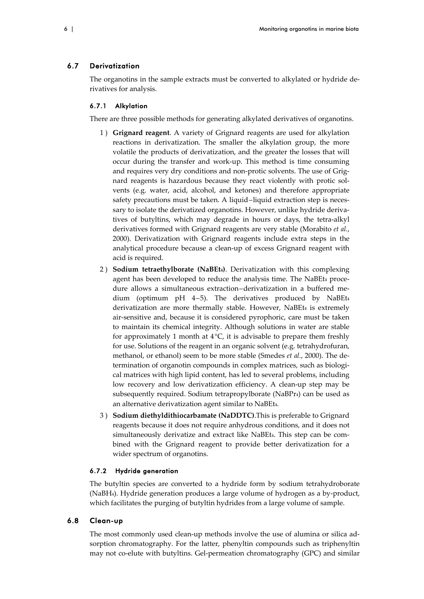#### 6.7 Derivatization

The organotins in the sample extracts must be converted to alkylated or hydride de‐ rivatives for analysis.

#### 6.7.1 Alkylation

There are three possible methods for generating alkylated derivatives of organotins.

- 1 ) **Grignard reagent**. A variety of Grignard reagents are used for alkylation reactions in derivatization. The smaller the alkylation group, the more volatile the products of derivatization, and the greater the losses that will occur during the transfer and work‐up. This method is time consuming and requires very dry conditions and non-protic solvents. The use of Grignard reagents is hazardous because they react violently with protic sol‐ vents (e.g. water, acid, alcohol, and ketones) and therefore appropriate safety precautions must be taken. A liquid–liquid extraction step is necessary to isolate the derivatized organotins. However, unlike hydride derivatives of butyltins, which may degrade in hours or days, the tetra‐alkyl derivatives formed with Grignard reagents are very stable (Morabito *et al.*, 2000). Derivatization with Grignard reagents include extra steps in the analytical procedure because a clean‐up of excess Grignard reagent with acid is required.
- 2 ) **Sodium tetraethylborate (NaBEt4)**. Derivatization with this complexing agent has been developed to reduce the analysis time. The NaBEt4 procedure allows a simultaneous extraction–derivatization in a buffered me‐ dium (optimum pH 4–5). The derivatives produced by NaBEt4 derivatization are more thermally stable. However, NaBEt4 is extremely air‐sensitive and, because it is considered pyrophoric, care must be taken to maintain its chemical integrity. Although solutions in water are stable for approximately 1 month at  $4^{\circ}C$ , it is advisable to prepare them freshly for use. Solutions of the reagent in an organic solvent (e.g. tetrahydrofuran, methanol, or ethanol) seem to be more stable (Smedes *et al.*, 2000). The de‐ termination of organotin compounds in complex matrices, such as biological matrices with high lipid content, has led to several problems, including low recovery and low derivatization efficiency. A clean‐up step may be subsequently required. Sodium tetrapropylborate (NaBPr<sub>4</sub>) can be used as an alternative derivatization agent similar to NaBEt4.
- 3 ) **Sodium diethyldithiocarbamate (NaDDTC)**.This is preferable to Grignard reagents because it does not require anhydrous conditions, and it does not simultaneously derivatize and extract like NaBEt4. This step can be combined with the Grignard reagent to provide better derivatization for a wider spectrum of organotins.

## 6.7.2 Hydride generation

The butyltin species are converted to a hydride form by sodium tetrahydroborate (NaBH4). Hydride generation produces a large volume of hydrogen as a by‐product, which facilitates the purging of butyltin hydrides from a large volume of sample.

#### 6.8 Clean-up

The most commonly used clean-up methods involve the use of alumina or silica adsorption chromatography. For the latter, phenyltin compounds such as triphenyltin may not co-elute with butyltins. Gel-permeation chromatography (GPC) and similar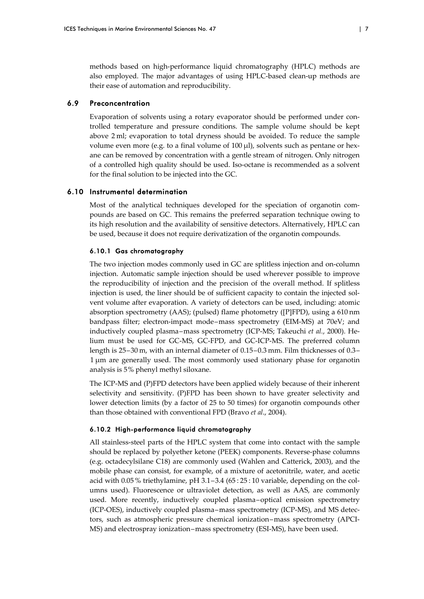methods based on high‐performance liquid chromatography (HPLC) methods are also employed. The major advantages of using HPLC‐based clean‐up methods are their ease of automation and reproducibility.

#### 6.9 Preconcentration

Evaporation of solvents using a rotary evaporator should be performed under controlled temperature and pressure conditions. The sample volume should be kept above 2 ml; evaporation to total dryness should be avoided. To reduce the sample volume even more (e.g. to a final volume of  $100 \mu$ ), solvents such as pentane or hexane can be removed by concentration with a gentle stream of nitrogen. Only nitrogen of a controlled high quality should be used. Iso‐octane is recommended as a solvent for the final solution to be injected into the GC.

#### 6.10 Instrumental determination

Most of the analytical techniques developed for the speciation of organotin compounds are based on GC. This remains the preferred separation technique owing to its high resolution and the availability of sensitive detectors. Alternatively, HPLC can be used, because it does not require derivatization of the organotin compounds.

#### 6.10.1 Gas chromatography

The two injection modes commonly used in GC are splitless injection and on‐column injection. Automatic sample injection should be used wherever possible to improve the reproducibility of injection and the precision of the overall method. If splitless injection is used, the liner should be of sufficient capacity to contain the injected solvent volume after evaporation. A variety of detectors can be used, including: atomic absorption spectrometry (AAS); (pulsed) flame photometry ([P]FPD), using a 610 nm bandpass filter; electron‐impact mode–mass spectrometry (EIM‐MS) at 70eV; and inductively coupled plasma–mass spectrometry (ICP‐MS; Takeuchi *et al.*, 2000). He‐ lium must be used for GC‐MS, GC‐FPD, and GC‐ICP‐MS. The preferred column length is 25–30 m, with an internal diameter of 0.15–0.3 mm. Film thicknesses of 0.3– 1 μm are generally used. The most commonly used stationary phase for organotin analysis is 5% phenyl methyl siloxane.

The ICP-MS and (P)FPD detectors have been applied widely because of their inherent selectivity and sensitivity. (P)FPD has been shown to have greater selectivity and lower detection limits (by a factor of 25 to 50 times) for organotin compounds other than those obtained with conventional FPD (Bravo *et al*., 2004).

#### 6.10.2 High-performance liquid chromatography

All stainless‐steel parts of the HPLC system that come into contact with the sample should be replaced by polyether ketone (PEEK) components. Reverse-phase columns (e.g. octadecylsilane C18) are commonly used (Wahlen and Catterick, 2003), and the mobile phase can consist, for example, of a mixture of acetonitrile, water, and acetic acid with  $0.05\%$  triethylamine, pH  $3.1-3.4$  (65:25:10 variable, depending on the columns used). Fluorescence or ultraviolet detection, as well as AAS, are commonly used. More recently, inductively coupled plasma–optical emission spectrometry (ICP‐OES), inductively coupled plasma–mass spectrometry (ICP‐MS), and MS detec‐ tors, such as atmospheric pressure chemical ionization–mass spectrometry (APCI‐ MS) and electrospray ionization–mass spectrometry (ESI‐MS), have been used.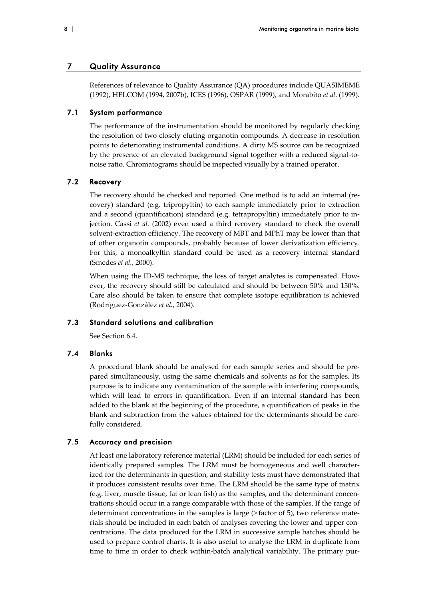#### 7 Quality Assurance

References of relevance to Quality Assurance (QA) procedures include QUASIMEME (1992), HELCOM (1994, 2007b), ICES (1996), OSPAR (1999), and Morabito *et al*. (1999).

#### 7.1 System performance

The performance of the instrumentation should be monitored by regularly checking the resolution of two closely eluting organotin compounds. A decrease in resolution points to deteriorating instrumental conditions. A dirty MS source can be recognized by the presence of an elevated background signal together with a reduced signal‐to‐ noise ratio. Chromatograms should be inspected visually by a trained operator.

#### 7.2 Recovery

The recovery should be checked and reported. One method is to add an internal (re‐ covery) standard (e.g. tripropyltin) to each sample immediately prior to extraction and a second (quantification) standard (e.g. tetrapropyltin) immediately prior to in‐ jection. Cassi *et al.* (2002) even used a third recovery standard to check the overall solvent‐extraction efficiency. The recovery of MBT and MPhT may be lower than that of other organotin compounds, probably because of lower derivatization efficiency. For this, a monoalkyltin standard could be used as a recovery internal standard (Smedes *et al.*, 2000).

When using the ID-MS technique, the loss of target analytes is compensated. However, the recovery should still be calculated and should be between 50% and 150%. Care also should be taken to ensure that complete isotope equilibration is achieved (Rodríguez‐González *et al.*, 2004).

## 7.3 Standard solutions and calibration

See Section 6.4.

#### 7.4 Blanks

A procedural blank should be analysed for each sample series and should be pre‐ pared simultaneously, using the same chemicals and solvents as for the samples. Its purpose is to indicate any contamination of the sample with interfering compounds, which will lead to errors in quantification. Even if an internal standard has been added to the blank at the beginning of the procedure, a quantification of peaks in the blank and subtraction from the values obtained for the determinants should be carefully considered.

#### 7.5 Accuracy and precision

At least one laboratory reference material (LRM) should be included for each series of identically prepared samples. The LRM must be homogeneous and well character‐ ized for the determinants in question, and stability tests must have demonstrated that it produces consistent results over time. The LRM should be the same type of matrix (e.g. liver, muscle tissue, fat or lean fish) as the samples, and the determinant concen‐ trations should occur in a range comparable with those of the samples. If the range of determinant concentrations in the samples is large (> factor of 5), two reference materials should be included in each batch of analyses covering the lower and upper concentrations. The data produced for the LRM in successive sample batches should be used to prepare control charts. It is also useful to analyse the LRM in duplicate from time to time in order to check within-batch analytical variability. The primary pur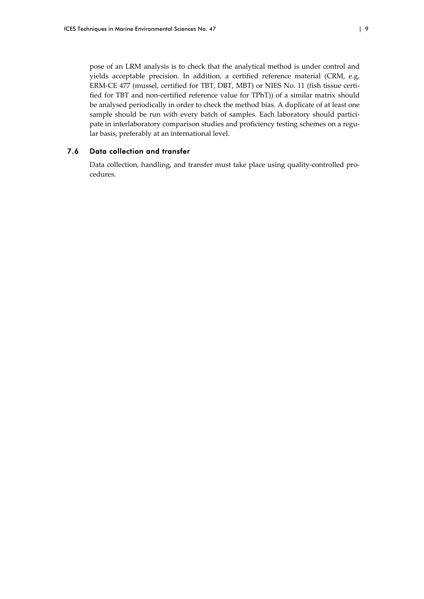pose of an LRM analysis is to check that the analytical method is under control and yields acceptable precision. In addition, a certified reference material (CRM, e.g. ERM-CE 477 (mussel, certified for TBT, DBT, MBT) or NIES No. 11 (fish tissue certified for TBT and non‐certified reference value for TPhT)) of a similar matrix should be analysed periodically in order to check the method bias. A duplicate of at least one sample should be run with every batch of samples. Each laboratory should participate in interlaboratory comparison studies and proficiency testing schemes on a regular basis, preferably at an international level.

## 7.6 Data collection and transfer

Data collection, handling, and transfer must take place using quality-controlled procedures.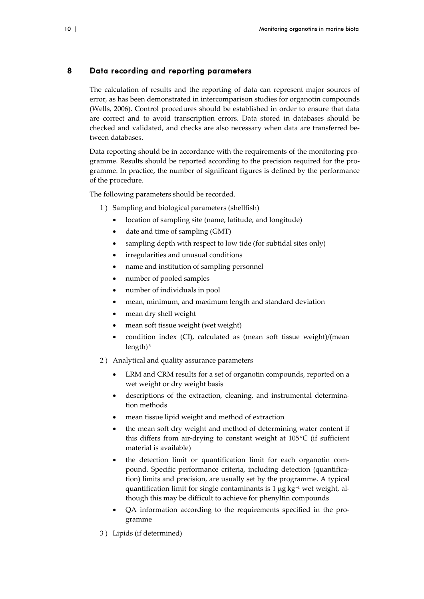## 8 Data recording and reporting parameters

The calculation of results and the reporting of data can represent major sources of error, as has been demonstrated in intercomparison studies for organotin compounds (Wells, 2006). Control procedures should be established in order to ensure that data are correct and to avoid transcription errors. Data stored in databases should be checked and validated, and checks are also necessary when data are transferred be‐ tween databases.

Data reporting should be in accordance with the requirements of the monitoring programme. Results should be reported according to the precision required for the pro‐ gramme. In practice, the number of significant figures is defined by the performance of the procedure.

The following parameters should be recorded.

- 1 ) Sampling and biological parameters (shellfish)
	- location of sampling site (name, latitude, and longitude)
	- date and time of sampling (GMT)
	- sampling depth with respect to low tide (for subtidal sites only)
	- irregularities and unusual conditions
	- name and institution of sampling personnel
	- number of pooled samples
	- number of individuals in pool
	- mean, minimum, and maximum length and standard deviation
	- mean dry shell weight
	- mean soft tissue weight (wet weight)
	- condition index (CI), calculated as (mean soft tissue weight)/(mean length $)^3$
- 2 ) Analytical and quality assurance parameters
	- LRM and CRM results for a set of organotin compounds, reported on a wet weight or dry weight basis
	- descriptions of the extraction, cleaning, and instrumental determination methods
	- mean tissue lipid weight and method of extraction
	- the mean soft dry weight and method of determining water content if this differs from air-drying to constant weight at  $105^{\circ}$ C (if sufficient material is available)
	- the detection limit or quantification limit for each organotin compound. Specific performance criteria, including detection (quantification) limits and precision, are usually set by the programme. A typical quantification limit for single contaminants is  $1 \mu g kg<sup>-1</sup>$  wet weight, although this may be difficult to achieve for phenyltin compounds
	- QA information according to the requirements specified in the pro‐ gramme
- 3 ) Lipids (if determined)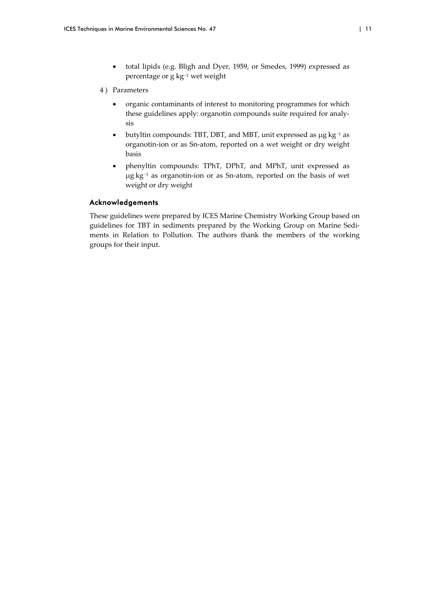total lipids (e.g. Bligh and Dyer, 1959, or Smedes, 1999) expressed as percentage or g kg−<sup>1</sup> wet weight

#### 4 ) Parameters

- organic contaminants of interest to monitoring programmes for which these guidelines apply: organotin compounds suite required for analy‐ sis
- butyltin compounds: TBT, DBT, and MBT, unit expressed as μg kg−<sup>1</sup> as organotin‐ion or as Sn‐atom, reported on a wet weight or dry weight basis
- phenyltin compounds: TPhT, DPhT, and MPhT, unit expressed as μg kg−<sup>1</sup> as organotin‐ion or as Sn‐atom, reported on the basis of wet weight or dry weight

#### Acknowledgements

These guidelines were prepared by ICES Marine Chemistry Working Group based on guidelines for TBT in sediments prepared by the Working Group on Marine Sedi‐ ments in Relation to Pollution. The authors thank the members of the working groups for their input.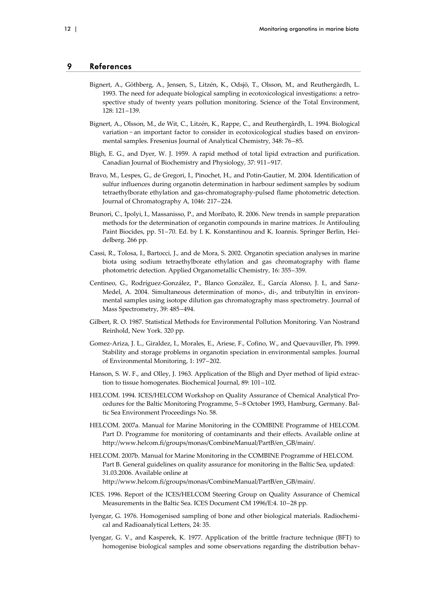#### 9 References

- Bignert, A., Göthberg, A., Jensen, S., Litzén, K., Odsjö, T., Olsson, M., and Reuthergårdh, L. 1993. The need for adequate biological sampling in ecotoxicological investigations: a retro‐ spective study of twenty years pollution monitoring. Science of the Total Environment, 128: 121–139.
- Bignert, A., Olsson, M., de Wit, C., Litzén, K., Rappe, C., and Reuthergårdh, L. 1994. Biological variation − an important factor to consider in ecotoxicological studies based on environ‐ mental samples. Fresenius Journal of Analytical Chemistry, 348: 76–85.
- Bligh, E. G., and Dyer, W. J. 1959. A rapid method of total lipid extraction and purification. Canadian Journal of Biochemistry and Physiology, 37: 911–917.
- Bravo, M., Lespes, G., de Gregori, I., Pinochet, H., and Potin‐Gautier, M. 2004. Identification of sulfur influences during organotin determination in harbour sediment samples by sodium tetraethylborate ethylation and gas‐chromatography‐pulsed flame photometric detection. Journal of Chromatography A, 1046: 217–224.
- Brunori, C., Ipolyi, I., Massanisso, P., and Moribato, R. 2006. New trends in sample preparation methods for the determination of organotin compounds in marine matrices. *In* Antifouling Paint Biocides, pp. 51–70. Ed. by I. K. Konstantinou and K. Ioannis. Springer Berlin, Hei‐ delberg. 266 pp.
- Cassi, R., Tolosa, I., Bartocci, J., and de Mora, S. 2002. Organotin speciation analyses in marine biota using sodium tetraethylborate ethylation and gas chromatography with flame photometric detection. Applied Organometallic Chemistry, 16: 355–359.
- Centineo, G., Rodríguez‐González, P., Blanco González, E., García Alonso, J. I., and Sanz‐ Medel, A. 2004. Simultaneous determination of mono-, di-, and tributyltin in environmental samples using isotope dilution gas chromatography mass spectrometry. Journal of Mass Spectrometry, 39: 485–494.
- Gilbert, R. O. 1987. Statistical Methods for Environmental Pollution Monitoring. Van Nostrand Reinhold, New York. 320 pp.
- Gomez‐Ariza, J. L., Giraldez, I., Morales, E., Ariese, F., Cofino, W., and Quevauviller, Ph. 1999. Stability and storage problems in organotin speciation in environmental samples. Journal of Environmental Monitoring, 1: 197–202.
- Hanson, S. W. F., and Olley, J. 1963. Application of the Bligh and Dyer method of lipid extraction to tissue homogenates. Biochemical Journal, 89: 101–102.
- HELCOM. 1994. ICES/HELCOM Workshop on Quality Assurance of Chemical Analytical Procedures for the Baltic Monitoring Programme, 5-8 October 1993, Hamburg, Germany. Baltic Sea Environment Proceedings No. 58.
- HELCOM. 2007a. Manual for Marine Monitoring in the COMBINE Programme of HELCOM. Part D. Programme for monitoring of contaminants and their effects. Available online at http://www.helcom.fi/groups/monas/CombineManual/PartB/en\_GB/main/.
- HELCOM. 2007b. Manual for Marine Monitoring in the COMBINE Programme of HELCOM. Part B. General guidelines on quality assurance for monitoring in the Baltic Sea, updated: 31.03.2006. Available online at http://www.helcom.fi/groups/monas/CombineManual/PartB/en\_GB/main/.
- ICES. 1996. Report of the ICES/HELCOM Steering Group on Quality Assurance of Chemical Measurements in the Baltic Sea. ICES Document CM 1996/E:4. 10–28 pp.
- Iyengar, G. 1976. Homogenised sampling of bone and other biological materials. Radiochemical and Radioanalytical Letters, 24: 35.
- Iyengar, G. V., and Kasperek, K. 1977. Application of the brittle fracture technique (BFT) to homogenise biological samples and some observations regarding the distribution behav‐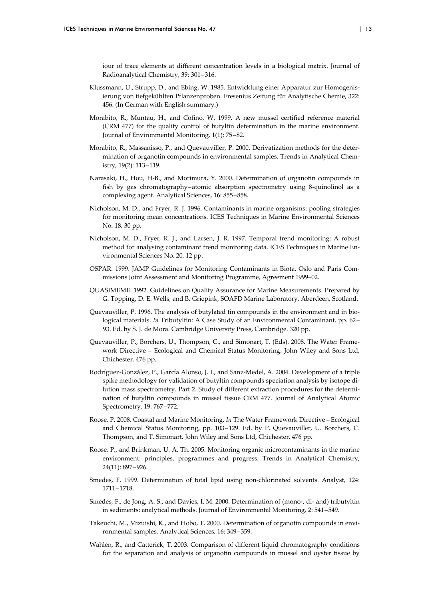iour of trace elements at different concentration levels in a biological matrix. Journal of Radioanalytical Chemistry, 39: 301–316.

- Klussmann, U., Strupp, D., and Ebing, W. 1985. Entwicklung einer Apparatur zur Homogenis‐ ierung von tiefgekühlten Pflanzenproben. Fresenius Zeitung für Analytische Chemie, 322: 456. (In German with English summary.)
- Morabito, R., Muntau, H., and Cofino, W. 1999. A new mussel certified reference material (CRM 477) for the quality control of butyltin determination in the marine environment. Journal of Environmental Monitoring, 1(1): 75–82.
- Morabito, R., Massanisso, P., and Quevauviller, P. 2000. Derivatization methods for the deter‐ mination of organotin compounds in environmental samples. Trends in Analytical Chemistry, 19(2): 113–119.
- Narasaki, H., Hou, H‐B., and Morimura, Y. 2000. Determination of organotin compounds in fish by gas chromatography–atomic absorption spectrometry using 8‐quinolinol as a complexing agent. Analytical Sciences, 16: 855–858.
- Nicholson, M. D., and Fryer, R. J. 1996. Contaminants in marine organisms: pooling strategies for monitoring mean concentrations. ICES Techniques in Marine Environmental Sciences No. 18. 30 pp.
- Nicholson, M. D., Fryer, R. J., and Larsen, J. R. 1997. Temporal trend monitoring: A robust method for analysing contaminant trend monitoring data. ICES Techniques in Marine En‐ vironmental Sciences No. 20. 12 pp.
- OSPAR. 1999. JAMP Guidelines for Monitoring Contaminants in Biota. Oslo and Paris Com‐ missions Joint Assessment and Monitoring Programme, Agreement 1999–02.
- QUASIMEME. 1992. Guidelines on Quality Assurance for Marine Measurements. Prepared by G. Topping, D. E. Wells, and B. Griepink, SOAFD Marine Laboratory, Aberdeen, Scotland.
- Quevauviller, P. 1996. The analysis of butylated tin compounds in the environment and in bio‐ logical materials. *In* Tributyltin: A Case Study of an Environmental Contaminant, pp. 62– 93. Ed. by S. J. de Mora. Cambridge University Press, Cambridge. 320 pp.
- Quevauviller, P., Borchers, U., Thompson, C., and Simonart, T. (Eds). 2008. The Water Frame‐ work Directive – Ecological and Chemical Status Monitoring. John Wiley and Sons Ltd, Chichester. 476 pp.
- Rodríguez‐González, P., García Alonso, J. I., and Sanz‐Medel, A. 2004. Development of a triple spike methodology for validation of butyltin compounds speciation analysis by isotope dilution mass spectrometry. Part 2. Study of different extraction procedures for the determination of butyltin compounds in mussel tissue CRM 477. Journal of Analytical Atomic Spectrometry, 19: 767–772.
- Roose, P. 2008. Coastal and Marine Monitoring. *In* The Water Framework Directive Ecological and Chemical Status Monitoring, pp. 103–129. Ed. by P. Quevauviller, U. Borchers, C. Thompson, and T. Simonart. John Wiley and Sons Ltd, Chichester. 476 pp.
- Roose, P., and Brinkman, U. A. Th. 2005. Monitoring organic microcontaminants in the marine environment: principles, programmes and progress. Trends in Analytical Chemistry, 24(11): 897–926.
- Smedes, F. 1999. Determination of total lipid using non‐chlorinated solvents. Analyst, 124: 1711–1718.
- Smedes, F., de Jong, A. S., and Davies, I. M. 2000. Determination of (mono-, di- and) tributyltin in sediments: analytical methods. Journal of Environmental Monitoring, 2: 541–549.
- Takeuchi, M., Mizuishi, K., and Hobo, T. 2000. Determination of organotin compounds in envi‐ ronmental samples. Analytical Sciences, 16: 349–359.
- Wahlen, R., and Catterick, T. 2003. Comparison of different liquid chromatography conditions for the separation and analysis of organotin compounds in mussel and oyster tissue by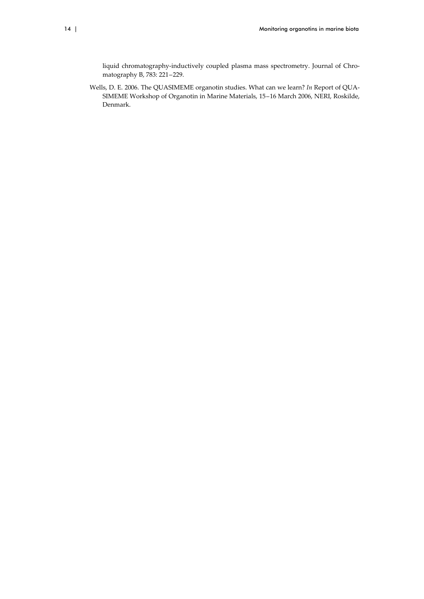liquid chromatography-inductively coupled plasma mass spectrometry. Journal of Chromatography B, 783: 221–229.

Wells, D. E. 2006. The QUASIMEME organotin studies. What can we learn? *In* Report of QUA‐ SIMEME Workshop of Organotin in Marine Materials, 15–16 March 2006, NERI, Roskilde, Denmark.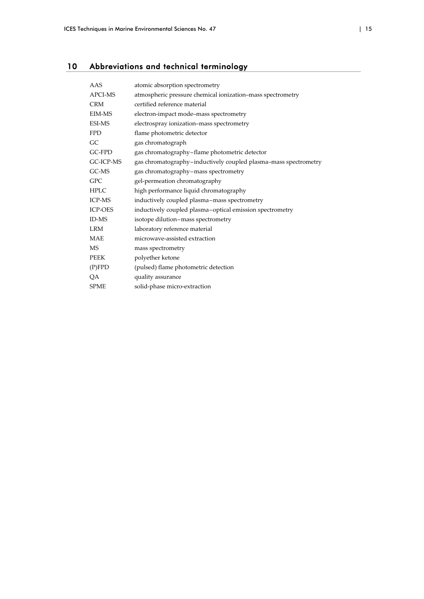## 10 Abbreviations and technical terminology

| AAS            | atomic absorption spectrometry                                  |
|----------------|-----------------------------------------------------------------|
| APCI-MS        | atmospheric pressure chemical ionization-mass spectrometry      |
| <b>CRM</b>     | certified reference material                                    |
| EIM-MS         | electron-impact mode-mass spectrometry                          |
| <b>ESI-MS</b>  | electrospray ionization-mass spectrometry                       |
| <b>FPD</b>     | flame photometric detector                                      |
| GC             | gas chromatograph                                               |
| GC-FPD         | gas chromatography-flame photometric detector                   |
| GC-ICP-MS      | gas chromatography-inductively coupled plasma-mass spectrometry |
| GC-MS          | gas chromatography-mass spectrometry                            |
| <b>GPC</b>     | gel-permeation chromatography                                   |
| <b>HPLC</b>    | high performance liquid chromatography                          |
| <b>ICP-MS</b>  | inductively coupled plasma-mass spectrometry                    |
| <b>ICP-OES</b> | inductively coupled plasma-optical emission spectrometry        |
| ID-MS          | isotope dilution-mass spectrometry                              |
| <b>LRM</b>     | laboratory reference material                                   |
| <b>MAE</b>     | microwave-assisted extraction                                   |
| <b>MS</b>      | mass spectrometry                                               |
| <b>PEEK</b>    | polyether ketone                                                |
| (P)FPD         | (pulsed) flame photometric detection                            |
| QA             | quality assurance                                               |
| <b>SPME</b>    | solid-phase micro-extraction                                    |